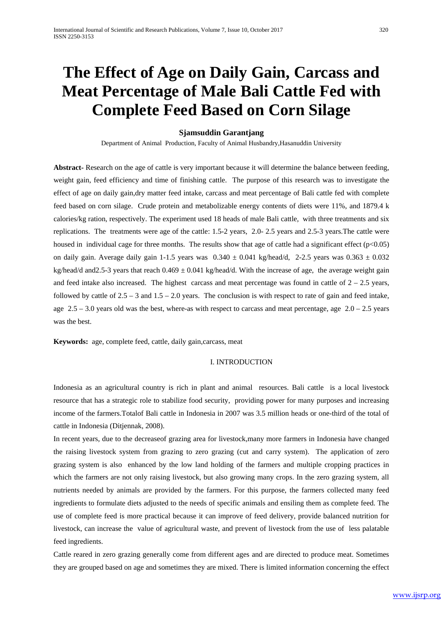# **The Effect of Age on Daily Gain, Carcass and Meat Percentage of Male Bali Cattle Fed with Complete Feed Based on Corn Silage**

#### **Sjamsuddin Garantjang**

Department of Animal Production, Faculty of Animal Husbandry,Hasanuddin University

**Abstract-** Research on the age of cattle is very important because it will determine the balance between feeding, weight gain, feed efficiency and time of finishing cattle. The purpose of this research was to investigate the effect of age on daily gain,dry matter feed intake, carcass and meat percentage of Bali cattle fed with complete feed based on corn silage. Crude protein and metabolizable energy contents of diets were 11%, and 1879.4 k calories/kg ration, respectively. The experiment used 18 heads of male Bali cattle, with three treatments and six replications. The treatments were age of the cattle: 1.5-2 years, 2.0- 2.5 years and 2.5-3 years.The cattle were housed in individual cage for three months. The results show that age of cattle had a significant effect ( $p<0.05$ ) on daily gain. Average daily gain 1-1.5 years was  $0.340 \pm 0.041$  kg/head/d, 2-2.5 years was  $0.363 \pm 0.032$ kg/head/d and 2.5-3 years that reach  $0.469 \pm 0.041$  kg/head/d. With the increase of age, the average weight gain and feed intake also increased. The highest carcass and meat percentage was found in cattle of  $2 - 2.5$  years, followed by cattle of  $2.5 - 3$  and  $1.5 - 2.0$  years. The conclusion is with respect to rate of gain and feed intake, age  $2.5 - 3.0$  years old was the best, where-as with respect to carcass and meat percentage, age  $2.0 - 2.5$  years was the best.

**Keywords:** age, complete feed, cattle, daily gain,carcass, meat

#### I. INTRODUCTION

Indonesia as an agricultural country is rich in plant and animal resources. Bali cattle is a local livestock resource that has a strategic role to stabilize food security, providing power for many purposes and increasing income of the farmers.Totalof Bali cattle in Indonesia in 2007 was 3.5 million heads or one-third of the total of cattle in Indonesia (Ditjennak, 2008).

In recent years, due to the decreaseof grazing area for livestock,many more farmers in Indonesia have changed the raising livestock system from grazing to zero grazing (cut and carry system). The application of zero grazing system is also enhanced by the low land holding of the farmers and multiple cropping practices in which the farmers are not only raising livestock, but also growing many crops. In the zero grazing system, all nutrients needed by animals are provided by the farmers. For this purpose, the farmers collected many feed ingredients to formulate diets adjusted to the needs of specific animals and ensiling them as complete feed. The use of complete feed is more practical because it can improve of feed delivery, provide balanced nutrition for livestock, can increase the value of agricultural waste, and prevent of livestock from the use of less palatable feed ingredients.

Cattle reared in zero grazing generally come from different ages and are directed to produce meat. Sometimes they are grouped based on age and sometimes they are mixed. There is limited information concerning the effect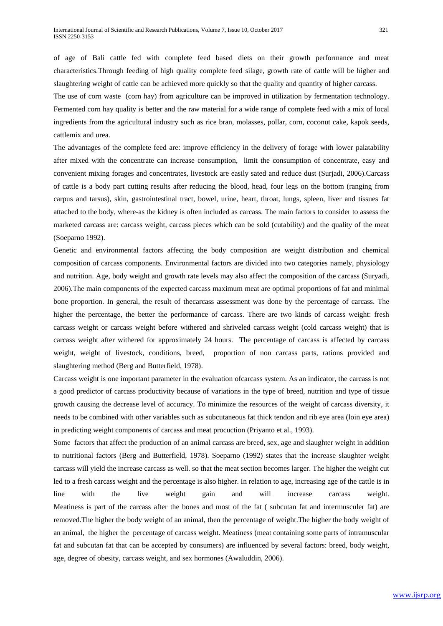slaughtering weight of cattle can be achieved more quickly so that the quality and quantity of higher carcass.

The use of corn waste (corn hay) from agriculture can be improved in utilization by fermentation technology. Fermented corn hay quality is better and the raw material for a wide range of complete feed with a mix of local ingredients from the agricultural industry such as rice bran, molasses, pollar, corn, coconut cake, kapok seeds, cattlemix and urea.

The advantages of the complete feed are: improve efficiency in the delivery of forage with lower palatability after mixed with the concentrate can increase consumption, limit the consumption of concentrate, easy and convenient mixing forages and concentrates, livestock are easily sated and reduce dust (Surjadi, 2006).Carcass of cattle is a body part cutting results after reducing the blood, head, four legs on the bottom (ranging from carpus and tarsus), skin, gastrointestinal tract, bowel, urine, heart, throat, lungs, spleen, liver and tissues fat attached to the body, where-as the kidney is often included as carcass. The main factors to consider to assess the marketed carcass are: carcass weight, carcass pieces which can be sold (cutability) and the quality of the meat (Soeparno 1992).

Genetic and environmental factors affecting the body composition are weight distribution and chemical composition of carcass components. Environmental factors are divided into two categories namely, physiology and nutrition. Age, body weight and growth rate levels may also affect the composition of the carcass (Suryadi, 2006).The main components of the expected carcass maximum meat are optimal proportions of fat and minimal bone proportion. In general, the result of thecarcass assessment was done by the percentage of carcass. The higher the percentage, the better the performance of carcass. There are two kinds of carcass weight: fresh carcass weight or carcass weight before withered and shriveled carcass weight (cold carcass weight) that is carcass weight after withered for approximately 24 hours. The percentage of carcass is affected by carcass weight, weight of livestock, conditions, breed, proportion of non carcass parts, rations provided and slaughtering method (Berg and Butterfield, 1978).

Carcass weight is one important parameter in the evaluation ofcarcass system. As an indicator, the carcass is not a good predictor of carcass productivity because of variations in the type of breed, nutrition and type of tissue growth causing the decrease level of accuracy. To minimize the resources of the weight of carcass diversity, it needs to be combined with other variables such as subcutaneous fat thick tendon and rib eye area (loin eye area) in predicting weight components of carcass and meat procuction (Priyanto et al., 1993).

Some factors that affect the production of an animal carcass are breed, sex, age and slaughter weight in addition to nutritional factors (Berg and Butterfield, 1978). Soeparno (1992) states that the increase slaughter weight carcass will yield the increase carcass as well. so that the meat section becomes larger. The higher the weight cut led to a fresh carcass weight and the percentage is also higher. In relation to age, increasing age of the cattle is in line with the live weight gain and will increase carcass weight. Meatiness is part of the carcass after the bones and most of the fat ( subcutan fat and intermusculer fat) are removed.The higher the body weight of an animal, then the percentage of weight.The higher the body weight of an animal, the higher the percentage of carcass weight. Meatiness (meat containing some parts of intramuscular fat and subcutan fat that can be accepted by consumers) are influenced by several factors: breed, body weight, age, degree of obesity, carcass weight, and sex hormones (Awaluddin, 2006).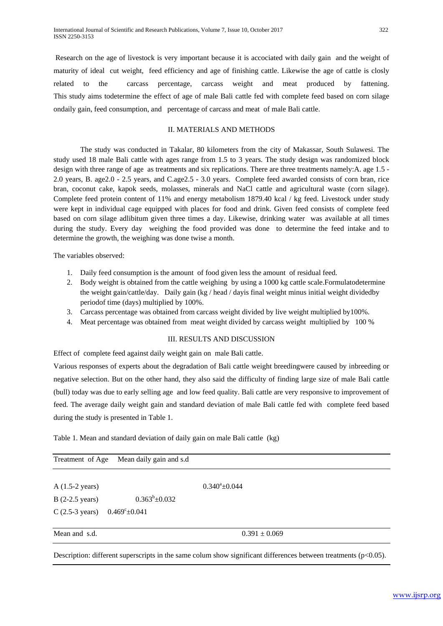Research on the age of livestock is very important because it is accociated with daily gain and the weight of maturity of ideal cut weight, feed efficiency and age of finishing cattle. Likewise the age of cattle is closly related to the carcass percentage, carcass weight and meat produced by fattening. This study aims todetermine the effect of age of male Bali cattle fed with complete feed based on corn silage ondaily gain, feed consumption, and percentage of carcass and meat of male Bali cattle.

# II. MATERIALS AND METHODS

The study was conducted in Takalar, 80 kilometers from the city of Makassar, South Sulawesi. The study used 18 male Bali cattle with ages range from 1.5 to 3 years. The study design was randomized block design with three range of age as treatments and six replications. There are three treatments namely: A. age 1.5 -2.0 years, B. age2.0 - 2.5 years, and C.age2.5 - 3.0 years. Complete feed awarded consists of corn bran, rice bran, coconut cake, kapok seeds, molasses, minerals and NaCl cattle and agricultural waste (corn silage). Complete feed protein content of 11% and energy metabolism 1879.40 kcal / kg feed. Livestock under study were kept in individual cage equipped with places for food and drink. Given feed consists of complete feed based on corn silage adlibitum given three times a day. Likewise, drinking water was available at all times during the study. Every day weighing the food provided was done to determine the feed intake and to determine the growth, the weighing was done twise a month.

The variables observed:

- 1. Daily feed consumption is the amount of food given less the amount of residual feed.
- 2. Body weight is obtained from the cattle weighing by using a 1000 kg cattle scale.Formulatodetermine the weight gain/cattle/day. Daily gain (kg / head / dayis final weight minus initial weight dividedby periodof time (days) multiplied by 100%.
- 3. Carcass percentage was obtained from carcass weight divided by live weight multiplied by100%.
- 4. Meat percentage was obtained from meat weight divided by carcass weight multiplied by 100 %

#### III. RESULTS AND DISCUSSION

Effect of complete feed against daily weight gain on male Bali cattle.

Various responses of experts about the degradation of Bali cattle weight breedingwere caused by inbreeding or negative selection. But on the other hand, they also said the difficulty of finding large size of male Bali cattle (bull) today was due to early selling age and low feed quality. Bali cattle are very responsive to improvement of feed. The average daily weight gain and standard deviation of male Bali cattle fed with complete feed based during the study is presented in Table 1.

Table 1. Mean and standard deviation of daily gain on male Bali cattle (kg)

| Treatment of Age          | Mean daily gain and s.d |                     |  |
|---------------------------|-------------------------|---------------------|--|
|                           |                         |                     |  |
| A $(1.5-2 \text{ years})$ |                         | $0.340^a \pm 0.044$ |  |
| $B(2-2.5 \text{ years})$  | $0.363^b \pm 0.032$     |                     |  |
| $C(2.5-3 \text{ years})$  | $0.469^{\circ}$ ±0.041  |                     |  |
| Mean and s.d.             |                         | $0.391 \pm 0.069$   |  |

Description: different superscripts in the same colum show significant differences between treatments (p<0.05).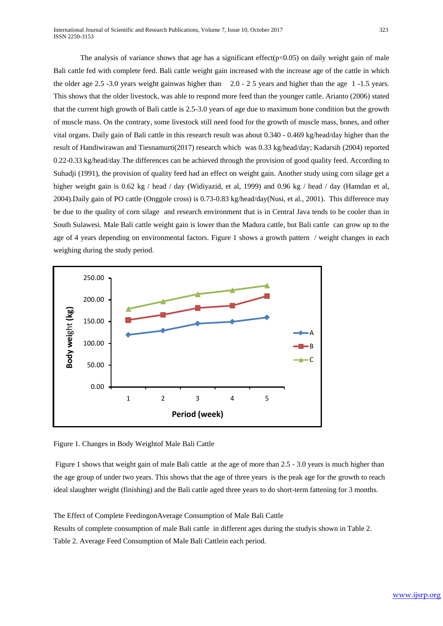The analysis of variance shows that age has a significant effect( $p<0.05$ ) on daily weight gain of male Bali cattle fed with complete feed. Bali cattle weight gain increased with the increase age of the cattle in which the older age 2.5 -3.0 years weight gainwas higher than 2.0 - 2 5 years and higher than the age 1 -1.5 years. This shows that the older livestock, was able to respond more feed than the younger cattle. Arianto (2006) stated that the current high growth of Bali cattle is 2.5-3.0 years of age due to maximum bone condition but the growth of muscle mass. On the contrary, some livestock still need food for the growth of muscle mass, bones, and other vital organs. Daily gain of Bali cattle in this research result was about 0.340 - 0.469 kg/head/day higher than the result of Handiwirawan and Tiesnamurti(2017) research which was 0.33 kg/head/day; Kadarsih (2004) reported 0.22-0.33 kg/head/day.The differences can be achieved through the provision of good quality feed. According to Suhadji (1991), the provision of quality feed had an effect on weight gain. Another study using corn silage get a higher weight gain is 0.62 kg / head / day (Widiyazid, et al, 1999) and 0.96 kg / head / day (Hamdan et al, 2004).Daily gain of PO cattle (Onggole cross) is 0.73-0.83 kg/head/day(Nusi, et al., 2001). This difference may be due to the quality of corn silage and research environment that is in Central Java tends to be cooler than in South Sulawesi. Male Bali cattle weight gain is lower than the Madura cattle, but Bali cattle can grow up to the age of 4 years depending on environmental factors. Figure 1 shows a growth pattern / weight changes in each weighing during the study period.



Figure 1. Changes in Body Weightof Male Bali Cattle

Figure 1 shows that weight gain of male Bali cattle at the age of more than 2.5 - 3.0 years is much higher than the age group of under two years. This shows that the age of three years is the peak age for the growth to reach ideal slaughter weight (finishing) and the Bali cattle aged three years to do short-term fattening for 3 months.

The Effect of Complete FeedingonAverage Consumption of Male Bali Cattle

Results of complete consumption of male Bali cattle in different ages during the studyis shown in Table 2. Table 2. Average Feed Consumption of Male Bali Cattlein each period.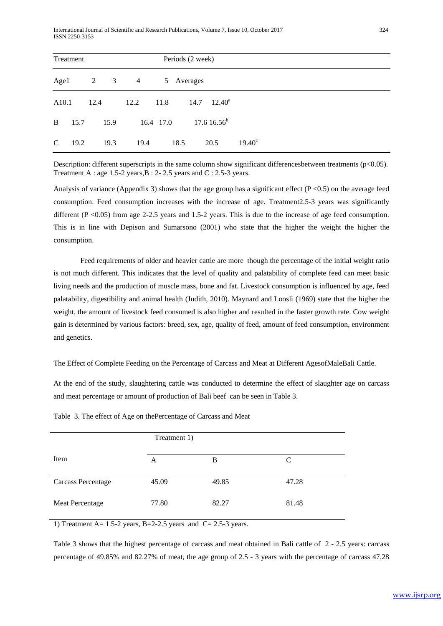| Treatment     |      |      |                | Periods (2 week) |           |          |                            |                 |  |  |  |  |  |
|---------------|------|------|----------------|------------------|-----------|----------|----------------------------|-----------------|--|--|--|--|--|
| Age1          |      | 2    | $\overline{3}$ | $\overline{4}$   | 5         | Averages |                            |                 |  |  |  |  |  |
| A10.1         |      | 12.4 |                | 12.2             | 11.8      |          | $14.7 \quad 12.40^{\circ}$ |                 |  |  |  |  |  |
| B             | 15.7 |      | 15.9           |                  | 16.4 17.0 |          | $17.616.56^b$              |                 |  |  |  |  |  |
| $\mathcal{C}$ | 19.2 |      | 19.3           | 19.4             |           | 18.5     | 20.5                       | $19.40^{\circ}$ |  |  |  |  |  |

Description: different superscripts in the same column show significant differences between treatments (p<0.05). Treatment A : age 1.5-2 years,B : 2- 2.5 years and C : 2.5-3 years.

Analysis of variance (Appendix 3) shows that the age group has a significant effect ( $P \le 0.5$ ) on the average feed consumption. Feed consumption increases with the increase of age. Treatment2.5-3 years was significantly different (P <0.05) from age 2-2.5 years and 1.5-2 years. This is due to the increase of age feed consumption. This is in line with Depison and Sumarsono (2001) who state that the higher the weight the higher the consumption.

Feed requirements of older and heavier cattle are more though the percentage of the initial weight ratio is not much different. This indicates that the level of quality and palatability of complete feed can meet basic living needs and the production of muscle mass, bone and fat. Livestock consumption is influenced by age, feed palatability, digestibility and animal health (Judith, 2010). Maynard and Loosli (1969) state that the higher the weight, the amount of livestock feed consumed is also higher and resulted in the faster growth rate. Cow weight gain is determined by various factors: breed, sex, age, quality of feed, amount of feed consumption, environment and genetics.

The Effect of Complete Feeding on the Percentage of Carcass and Meat at Different AgesofMaleBali Cattle.

At the end of the study, slaughtering cattle was conducted to determine the effect of slaughter age on carcass and meat percentage or amount of production of Bali beef can be seen in Table 3.

| Item                      | А     | В     | C     |
|---------------------------|-------|-------|-------|
| <b>Carcass Percentage</b> | 45.09 | 49.85 | 47.28 |
| Meat Percentage           | 77.80 | 82.27 | 81.48 |

Table 3. The effect of Age on thePercentage of Carcass and Meat

1) Treatment A=  $1.5$ -2 years, B=2-2.5 years and C= 2.5-3 years.

Table 3 shows that the highest percentage of carcass and meat obtained in Bali cattle of 2 - 2.5 years: carcass percentage of 49.85% and 82.27% of meat, the age group of 2.5 - 3 years with the percentage of carcass 47,28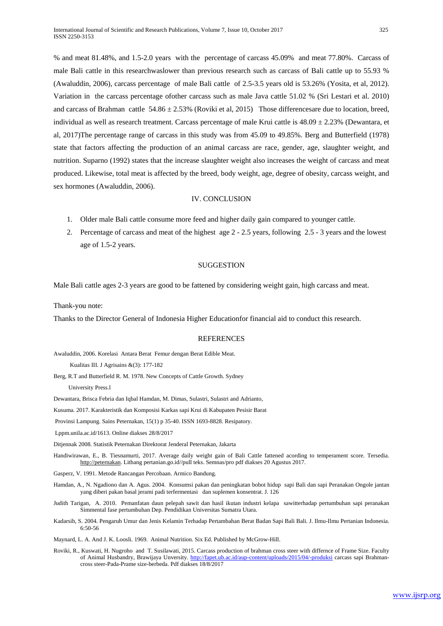% and meat 81.48%, and 1.5-2.0 years with the percentage of carcass 45.09% and meat 77.80%. Carcass of male Bali cattle in this researchwaslower than previous research such as carcass of Bali cattle up to 55.93 % (Awaluddin, 2006), carcass percentage of male Bali cattle of 2.5-3.5 years old is 53.26% (Yosita, et al, 2012). Variation in the carcass percentage ofother carcass such as male Java cattle 51.02 % (Sri Lestari et al. 2010) and carcass of Brahman cattle  $54.86 \pm 2.53\%$  (Roviki et al, 2015) Those differences are due to location, breed, individual as well as research treatment. Carcass percentage of male Krui cattle is  $48.09 \pm 2.23\%$  (Dewantara, et al, 2017)The percentage range of carcass in this study was from 45.09 to 49.85%. Berg and Butterfield (1978) state that factors affecting the production of an animal carcass are race, gender, age, slaughter weight, and nutrition. Suparno (1992) states that the increase slaughter weight also increases the weight of carcass and meat produced. Likewise, total meat is affected by the breed, body weight, age, degree of obesity, carcass weight, and sex hormones (Awaluddin, 2006).

# IV. CONCLUSION

- 1. Older male Bali cattle consume more feed and higher daily gain compared to younger cattle.
- 2. Percentage of carcass and meat of the highest age 2 2.5 years, following 2.5 3 years and the lowest age of 1.5-2 years.

## **SUGGESTION**

Male Bali cattle ages 2-3 years are good to be fattened by considering weight gain, high carcass and meat.

Thank-you note:

Thanks to the Director General of Indonesia Higher Educationfor financial aid to conduct this research.

## **REFERENCES**

Awaluddin, 2006. Korelasi Antara Berat Femur dengan Berat Edible Meat.

Kualitas III. J Agrisains &(3): 177-182

Berg, R.T and Butterfield R. M. 1978. New Concepts of Cattle Growth. Sydney

University Press.l

Dewantara, Brisca Febria dan Iqbal Hamdan, M. Dimas, Sulastri, Sulastri and Adrianto,

Kusuma. 2017. Karakteristik dan Komposisi Karkas sapi Krui di Kabupaten Pesisir Barat

Provinsi Lampung. Sains Peternakan, 15(1) p 35-40. ISSN 1693-8828. Resipatory.

Lppm.unila.ac.id/1613. Online diakses 28/8/2017

Ditjennak 2008. Statistik Peternakan Direktorat Jenderal Peternakan, Jakarta

- Handiwirawan, E., B. Tiesnamurti, 2017. Average daily weight gain of Bali Cattle fattened acording to temperament score. Tersedia. [http://peternakan.](http://peternakan/) Litbang pertanian.go.id//pull teks. Semnas/pro pdf diakses 20 Agustus 2017.
- Gasperz, V. 1991. Metode Rancangan Percobaan. Armico Bandung.
- Hamdan, A., N. Ngadiono dan A. Agus. 2004. Konsumsi pakan dan peningkatan bobot hidup sapi Bali dan sapi Peranakan Ongole jantan yang diberi pakan basal jerami padi terfermentasi dan suplemen konsentrat. J. 126
- Judith Tarigan, A. 2010. Pemanfatan daun pelepah sawit dan hasil ikutan industri kelapa sawitterhadap pertumbuhan sapi peranakan Simmental fase pertumbuhan Dep. Pendidikan Universitas Sumatra Utara.
- Kadarsih, S. 2004. Pengaruh Umur dan Jenis Kelamin Terhadap Pertambahan Berat Badan Sapi Bali Bali. J. Ilmu-Ilmu Pertanian Indonesia. 6:50-56
- Maynard, L. A. And J. K. Loosli. 1969. Animal Nutrition. Six Ed. Published by McGrow-Hill.
- Roviki, R., Kuswati, H. Nugroho and T. Susilawati, 2015. Carcass production of brahman cross steer with differnce of Frame Size. Faculty of Animal Husbandry, Brawijaya Unversity.<http://fapet.ub.ac.id/aup-content/uploads/2015/04/-produksi> carcass sapi Brahmancross steer-Pada-Prame size-berbeda. Pdf diakses 18/8/2017